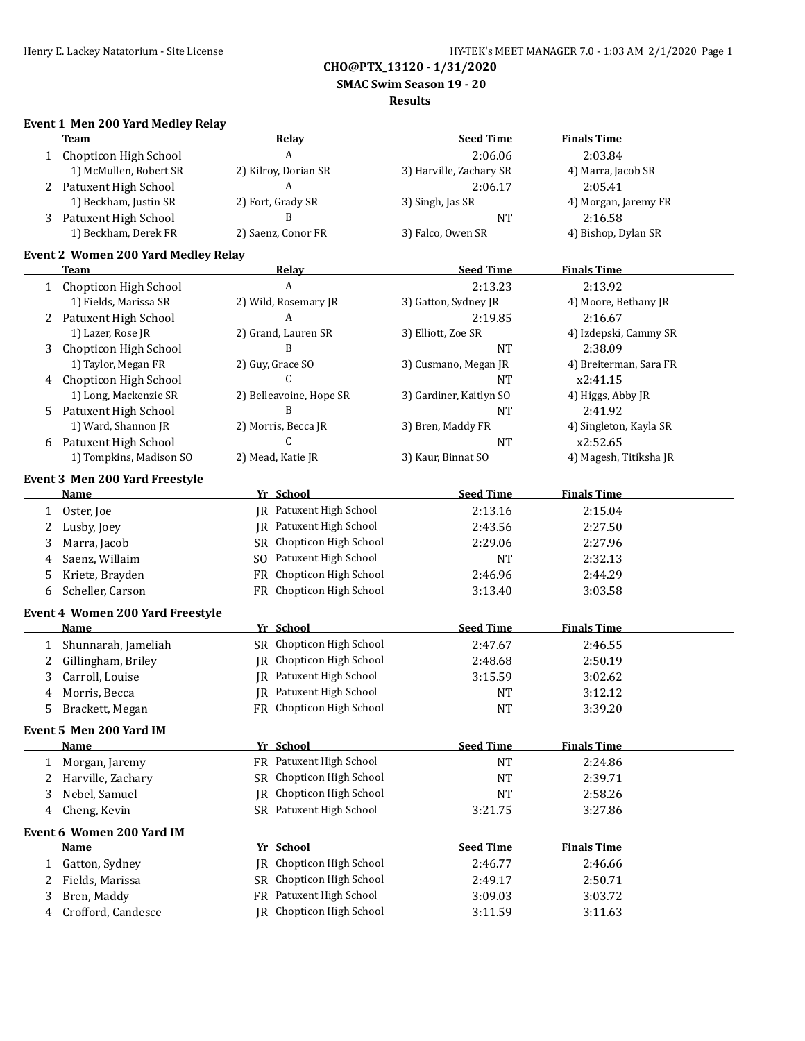**SMAC Swim Season 19 - 20**

#### **Results**

## **Event 1 Men 200 Yard Medley Relay**

|              | <b>Team</b>                                |     | Relay                          | <b>Seed Time</b>        | <b>Finals Time</b>     |
|--------------|--------------------------------------------|-----|--------------------------------|-------------------------|------------------------|
| $\mathbf{1}$ | Chopticon High School                      |     | A                              | 2:06.06                 | 2:03.84                |
|              | 1) McMullen, Robert SR                     |     | 2) Kilroy, Dorian SR           | 3) Harville, Zachary SR | 4) Marra, Jacob SR     |
| 2            | Patuxent High School                       |     | A                              | 2:06.17                 | 2:05.41                |
|              | 1) Beckham, Justin SR                      |     | 2) Fort, Grady SR              | 3) Singh, Jas SR        | 4) Morgan, Jaremy FR   |
| 3            | Patuxent High School                       |     | B                              | <b>NT</b>               | 2:16.58                |
|              | 1) Beckham, Derek FR                       |     | 2) Saenz, Conor FR             | 3) Falco, Owen SR       | 4) Bishop, Dylan SR    |
|              |                                            |     |                                |                         |                        |
|              | <b>Event 2 Women 200 Yard Medley Relay</b> |     |                                |                         |                        |
|              | Team                                       |     | <b>Relay</b>                   | <b>Seed Time</b>        | <b>Finals Time</b>     |
|              | 1 Chopticon High School                    |     | A                              | 2:13.23                 | 2:13.92                |
|              | 1) Fields, Marissa SR                      |     | 2) Wild, Rosemary JR           | 3) Gatton, Sydney JR    | 4) Moore, Bethany JR   |
|              | 2 Patuxent High School                     |     | A                              | 2:19.85                 | 2:16.67                |
|              | 1) Lazer, Rose JR                          |     | 2) Grand, Lauren SR            | 3) Elliott, Zoe SR      | 4) Izdepski, Cammy SR  |
| 3            | Chopticon High School                      |     | B                              | <b>NT</b>               | 2:38.09                |
|              | 1) Taylor, Megan FR                        |     | 2) Guy, Grace SO               | 3) Cusmano, Megan JR    | 4) Breiterman, Sara FR |
| 4            | Chopticon High School                      |     | C                              | <b>NT</b>               | x2:41.15               |
|              | 1) Long, Mackenzie SR                      |     | 2) Belleavoine, Hope SR        | 3) Gardiner, Kaitlyn SO | 4) Higgs, Abby JR      |
| 5            | Patuxent High School                       |     | B                              | <b>NT</b>               | 2:41.92                |
|              | 1) Ward, Shannon JR                        |     | 2) Morris, Becca JR            | 3) Bren, Maddy FR       | 4) Singleton, Kayla SR |
|              | 6 Patuxent High School                     |     | C                              | <b>NT</b>               | x2:52.65               |
|              | 1) Tompkins, Madison SO                    |     | 2) Mead, Katie JR              | 3) Kaur, Binnat SO      | 4) Magesh, Titiksha JR |
|              | Event 3 Men 200 Yard Freestyle             |     |                                |                         |                        |
|              | <b>Name</b>                                |     | Yr School                      | <b>Seed Time</b>        | <b>Finals Time</b>     |
| 1            | Oster, Joe                                 |     | <b>IR</b> Patuxent High School | 2:13.16                 | 2:15.04                |
| 2            | Lusby, Joey                                |     | JR Patuxent High School        | 2:43.56                 | 2:27.50                |
| 3            | Marra, Jacob                               |     | SR Chopticon High School       | 2:29.06                 | 2:27.96                |
| 4            | Saenz, Willaim                             | SO. | Patuxent High School           | <b>NT</b>               | 2:32.13                |
| 5            | Kriete, Brayden                            | FR  | Chopticon High School          | 2:46.96                 | 2:44.29                |
| 6            | Scheller, Carson                           | FR. | Chopticon High School          | 3:13.40                 | 3:03.58                |
|              |                                            |     |                                |                         |                        |
|              | Event 4 Women 200 Yard Freestyle           |     |                                |                         |                        |
|              | Name                                       |     | Yr School                      | <b>Seed Time</b>        | <b>Finals Time</b>     |
| 1            | Shunnarah, Jameliah                        |     | SR Chopticon High School       | 2:47.67                 | 2:46.55                |
| 2            | Gillingham, Briley                         | IR  | Chopticon High School          | 2:48.68                 | 2:50.19                |
| 3            | Carroll, Louise                            | IR  | Patuxent High School           | 3:15.59                 | 3:02.62                |
| 4            | Morris, Becca                              |     | <b>IR</b> Patuxent High School | <b>NT</b>               | 3:12.12                |
| 5            | Brackett, Megan                            |     | FR Chopticon High School       | <b>NT</b>               | 3:39.20                |
|              | Event 5 Men 200 Yard IM                    |     |                                |                         |                        |
|              | <b>Name</b>                                |     | Yr School                      | <b>Seed Time</b>        | <b>Finals Time</b>     |
| 1            | Morgan, Jaremy                             |     | FR Patuxent High School        | <b>NT</b>               | 2:24.86                |
| 2            | Harville, Zachary                          | SR  | Chopticon High School          | $\rm{NT}$               | 2:39.71                |
|              |                                            |     | Chopticon High School          |                         |                        |
| 3            | Nebel, Samuel                              | IR  | SR Patuxent High School        | <b>NT</b>               | 2:58.26                |
| 4            | Cheng, Kevin                               |     |                                | 3:21.75                 | 3:27.86                |
|              | Event 6 Women 200 Yard IM                  |     |                                |                         |                        |
|              | <b>Name</b>                                |     | Yr School                      | <b>Seed Time</b>        | <b>Finals Time</b>     |
| $\mathbf{1}$ | Gatton, Sydney                             |     | JR Chopticon High School       | 2:46.77                 | 2:46.66                |
| 2            | Fields, Marissa                            |     | SR Chopticon High School       | 2:49.17                 | 2:50.71                |
| 3            | Bren, Maddy                                |     | FR Patuxent High School        | 3:09.03                 | 3:03.72                |
| 4            | Crofford, Candesce                         |     | JR Chopticon High School       | 3:11.59                 | 3:11.63                |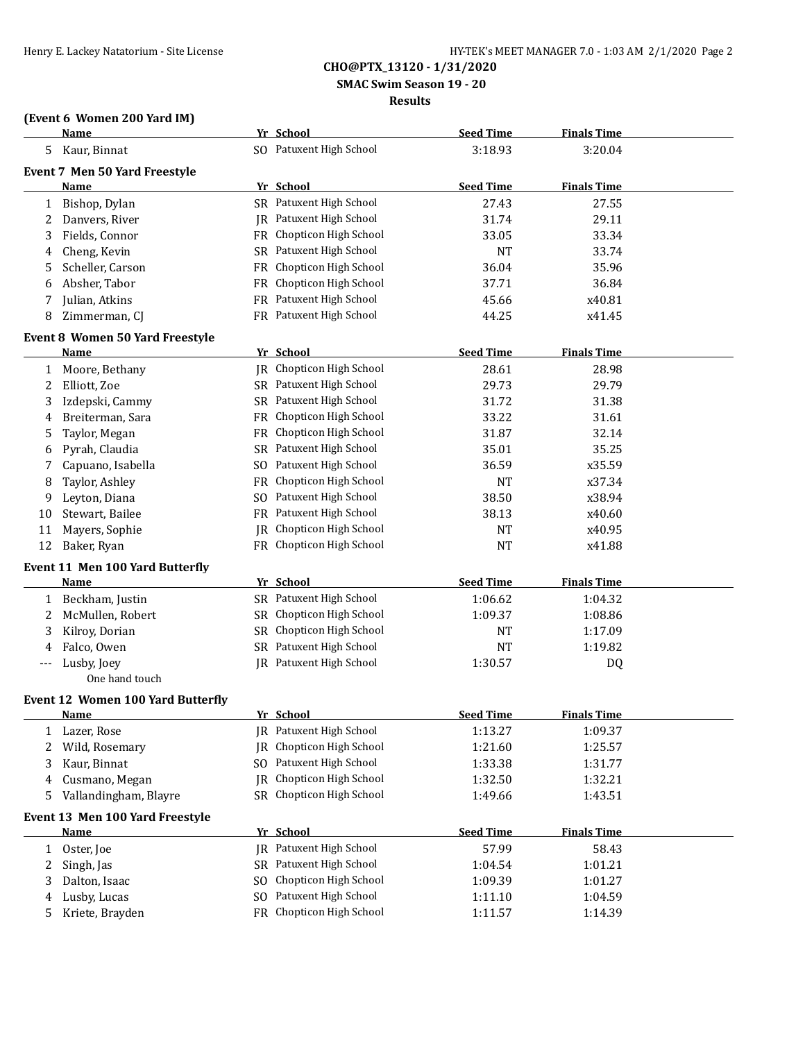**SMAC Swim Season 19 - 20**

#### **Results**

# **(Event 6 Women 200 Yard IM)**

|     | LEVENLU VVUNIEN 400 IAIU IMJ<br><b>Name</b> |           | Yr School                      | <b>Seed Time</b> | <b>Finals Time</b> |  |
|-----|---------------------------------------------|-----------|--------------------------------|------------------|--------------------|--|
|     | 5 Kaur, Binnat                              |           | SO Patuxent High School        | 3:18.93          | 3:20.04            |  |
|     | Event 7 Men 50 Yard Freestyle               |           |                                |                  |                    |  |
|     | Name                                        |           | Yr School                      | <b>Seed Time</b> | <b>Finals Time</b> |  |
| 1   | Bishop, Dylan                               |           | SR Patuxent High School        | 27.43            | 27.55              |  |
| 2   | Danvers, River                              |           | JR Patuxent High School        | 31.74            | 29.11              |  |
| 3   | Fields, Connor                              |           | FR Chopticon High School       | 33.05            | 33.34              |  |
| 4   | Cheng, Kevin                                |           | SR Patuxent High School        | <b>NT</b>        | 33.74              |  |
| 5   | Scheller, Carson                            | FR        | Chopticon High School          | 36.04            | 35.96              |  |
| 6   | Absher, Tabor                               |           | FR Chopticon High School       | 37.71            | 36.84              |  |
| 7   | Julian, Atkins                              |           | FR Patuxent High School        | 45.66            | x40.81             |  |
| 8   | Zimmerman, CJ                               |           | FR Patuxent High School        | 44.25            | x41.45             |  |
|     | Event 8 Women 50 Yard Freestyle             |           |                                |                  |                    |  |
|     | <u>Name</u>                                 |           | Yr School                      | <b>Seed Time</b> | <b>Finals Time</b> |  |
| 1   | Moore, Bethany                              |           | JR Chopticon High School       | 28.61            | 28.98              |  |
| 2   | Elliott, Zoe                                |           | SR Patuxent High School        | 29.73            | 29.79              |  |
| 3   | Izdepski, Cammy                             |           | SR Patuxent High School        | 31.72            | 31.38              |  |
| 4   | Breiterman, Sara                            |           | FR Chopticon High School       | 33.22            | 31.61              |  |
| 5   | Taylor, Megan                               |           | FR Chopticon High School       | 31.87            | 32.14              |  |
| 6   | Pyrah, Claudia                              |           | SR Patuxent High School        | 35.01            | 35.25              |  |
| 7   | Capuano, Isabella                           |           | SO Patuxent High School        | 36.59            | x35.59             |  |
| 8   | Taylor, Ashley                              |           | FR Chopticon High School       | NT               | x37.34             |  |
| 9   | Leyton, Diana                               |           | SO Patuxent High School        | 38.50            | x38.94             |  |
| 10  | Stewart, Bailee                             |           | FR Patuxent High School        | 38.13            | x40.60             |  |
| 11  | Mayers, Sophie                              | IR        | Chopticon High School          | <b>NT</b>        | x40.95             |  |
| 12  | Baker, Ryan                                 | <b>FR</b> | Chopticon High School          | <b>NT</b>        | x41.88             |  |
|     | Event 11 Men 100 Yard Butterfly             |           |                                |                  |                    |  |
|     | <b>Name</b>                                 |           | Yr School                      | <b>Seed Time</b> | <b>Finals Time</b> |  |
| 1   | Beckham, Justin                             |           | SR Patuxent High School        | 1:06.62          | 1:04.32            |  |
| 2   | McMullen, Robert                            |           | SR Chopticon High School       | 1:09.37          | 1:08.86            |  |
| 3   | Kilroy, Dorian                              |           | SR Chopticon High School       | NT               | 1:17.09            |  |
| 4   | Falco, Owen                                 |           | SR Patuxent High School        | NT               | 1:19.82            |  |
| --- | Lusby, Joey                                 |           | <b>IR</b> Patuxent High School | 1:30.57          | DQ                 |  |
|     | One hand touch                              |           |                                |                  |                    |  |
|     | <b>Event 12 Women 100 Yard Butterfly</b>    |           |                                |                  |                    |  |
|     | <b>Name</b>                                 |           | Yr School                      | <b>Seed Time</b> | <b>Finals Time</b> |  |
| 1   | Lazer, Rose                                 |           | JR Patuxent High School        | 1:13.27          | 1:09.37            |  |
| 2   | Wild, Rosemary                              | IR        | Chopticon High School          | 1:21.60          | 1:25.57            |  |
| 3   | Kaur, Binnat                                |           | SO Patuxent High School        | 1:33.38          | 1:31.77            |  |
| 4   | Cusmano, Megan                              | IR        | Chopticon High School          | 1:32.50          | 1:32.21            |  |
| 5   | Vallandingham, Blayre                       |           | SR Chopticon High School       | 1:49.66          | 1:43.51            |  |
|     | Event 13 Men 100 Yard Freestyle             |           |                                |                  |                    |  |
|     | <b>Name</b>                                 |           | Yr School                      | <b>Seed Time</b> | <b>Finals Time</b> |  |
| 1   | Oster, Joe                                  | IR        | Patuxent High School           | 57.99            | 58.43              |  |
| 2   | Singh, Jas                                  |           | SR Patuxent High School        | 1:04.54          | 1:01.21            |  |
| 3   | Dalton, Isaac                               | SO.       | Chopticon High School          | 1:09.39          | 1:01.27            |  |
| 4   | Lusby, Lucas                                | SO.       | Patuxent High School           | 1:11.10          | 1:04.59            |  |
| 5   | Kriete, Brayden                             |           | FR Chopticon High School       | 1:11.57          | 1:14.39            |  |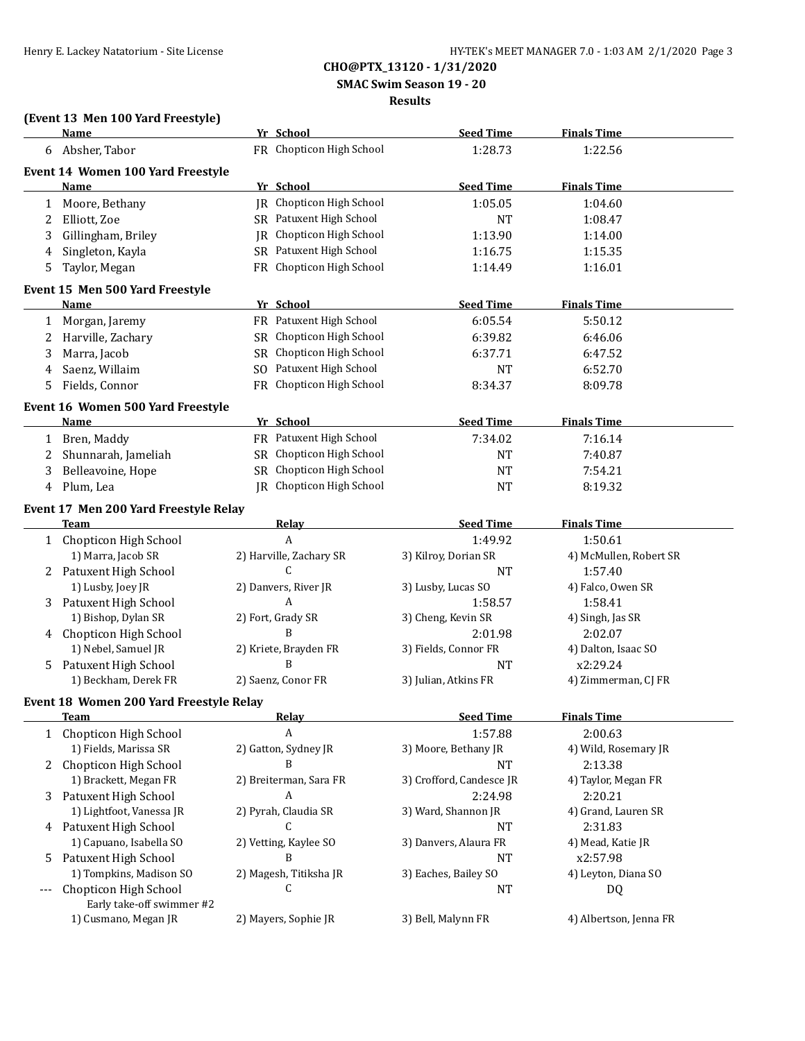**SMAC Swim Season 19 - 20**

#### **Results**

# **(Event 13 Men 100 Yard Freestyle)**

|              | Name                                    |    | Yr School                       | <b>Seed Time</b>         | <b>Finals Time</b>     |
|--------------|-----------------------------------------|----|---------------------------------|--------------------------|------------------------|
|              | 6 Absher, Tabor                         |    | FR Chopticon High School        | 1:28.73                  | 1:22.56                |
|              | Event 14 Women 100 Yard Freestyle       |    |                                 |                          |                        |
|              | Name                                    |    | Yr School                       | <b>Seed Time</b>         | <b>Finals Time</b>     |
| 1            | Moore, Bethany                          |    | <b>JR</b> Chopticon High School | 1:05.05                  | 1:04.60                |
| 2            | Elliott, Zoe                            |    | SR Patuxent High School         | <b>NT</b>                | 1:08.47                |
| 3            | Gillingham, Briley                      | IR | Chopticon High School           | 1:13.90                  | 1:14.00                |
| 4            | Singleton, Kayla                        |    | SR Patuxent High School         | 1:16.75                  | 1:15.35                |
|              |                                         |    | FR Chopticon High School        | 1:14.49                  | 1:16.01                |
| 5            | Taylor, Megan                           |    |                                 |                          |                        |
|              | Event 15 Men 500 Yard Freestyle         |    |                                 |                          |                        |
|              | Name                                    |    | Yr School                       | <b>Seed Time</b>         | <b>Finals Time</b>     |
| 1            | Morgan, Jaremy                          |    | FR Patuxent High School         | 6:05.54                  | 5:50.12                |
| 2            | Harville, Zachary                       |    | SR Chopticon High School        | 6:39.82                  | 6:46.06                |
| 3            | Marra, Jacob                            |    | SR Chopticon High School        | 6:37.71                  | 6:47.52                |
| 4            | Saenz, Willaim                          |    | SO Patuxent High School         | <b>NT</b>                | 6:52.70                |
| 5            | Fields, Connor                          |    | FR Chopticon High School        | 8:34.37                  | 8:09.78                |
|              | Event 16 Women 500 Yard Freestyle       |    |                                 |                          |                        |
|              | Name                                    |    | Yr School                       | <b>Seed Time</b>         | <b>Finals Time</b>     |
| 1            | Bren, Maddy                             |    | FR Patuxent High School         | 7:34.02                  | 7:16.14                |
| 2            | Shunnarah, Jameliah                     |    | SR Chopticon High School        | NT                       | 7:40.87                |
| 3            | Belleavoine, Hope                       |    | SR Chopticon High School        | <b>NT</b>                | 7:54.21                |
|              | Plum, Lea                               |    | IR Chopticon High School        |                          |                        |
| 4            |                                         |    |                                 | <b>NT</b>                | 8:19.32                |
|              | Event 17 Men 200 Yard Freestyle Relay   |    |                                 |                          |                        |
|              | Team                                    |    | Relay                           | <b>Seed Time</b>         | <b>Finals Time</b>     |
|              | 1 Chopticon High School                 |    | A                               | 1:49.92                  | 1:50.61                |
|              | 1) Marra, Jacob SR                      |    | 2) Harville, Zachary SR         | 3) Kilroy, Dorian SR     | 4) McMullen, Robert SR |
|              | 2 Patuxent High School                  |    | $\mathsf{C}$                    | <b>NT</b>                | 1:57.40                |
|              | 1) Lusby, Joey JR                       |    | 2) Danvers, River JR            | 3) Lusby, Lucas SO       | 4) Falco, Owen SR      |
| 3            | Patuxent High School                    |    | A                               | 1:58.57                  | 1:58.41                |
|              | 1) Bishop, Dylan SR                     |    | 2) Fort, Grady SR               | 3) Cheng, Kevin SR       | 4) Singh, Jas SR       |
|              | 4 Chopticon High School                 |    | B                               | 2:01.98                  | 2:02.07                |
|              | 1) Nebel, Samuel JR                     |    | 2) Kriete, Brayden FR           | 3) Fields, Connor FR     | 4) Dalton, Isaac SO    |
| 5            | Patuxent High School                    |    | B                               | <b>NT</b>                | x2:29.24               |
|              | 1) Beckham, Derek FR                    |    | 2) Saenz, Conor FR              | 3) Julian, Atkins FR     | 4) Zimmerman, CJ FR    |
|              | Event 18 Women 200 Yard Freestyle Relay |    |                                 |                          |                        |
|              | Team                                    |    | <b>Relav</b>                    | Seed Time                | <b>Finals Time</b>     |
| $\mathbf{1}$ | Chopticon High School                   |    | A                               | 1:57.88                  | 2:00.63                |
|              | 1) Fields, Marissa SR                   |    | 2) Gatton, Sydney JR            | 3) Moore, Bethany JR     | 4) Wild, Rosemary JR   |
| 2            | Chopticon High School                   |    | B                               | <b>NT</b>                | 2:13.38                |
|              | 1) Brackett, Megan FR                   |    | 2) Breiterman, Sara FR          | 3) Crofford, Candesce JR | 4) Taylor, Megan FR    |
| 3            | Patuxent High School                    |    | A                               | 2:24.98                  | 2:20.21                |
|              | 1) Lightfoot, Vanessa JR                |    | 2) Pyrah, Claudia SR            | 3) Ward, Shannon JR      | 4) Grand, Lauren SR    |
|              | 4 Patuxent High School                  |    | C                               | <b>NT</b>                | 2:31.83                |
|              | 1) Capuano, Isabella SO                 |    | 2) Vetting, Kaylee SO           | 3) Danvers, Alaura FR    | 4) Mead, Katie JR      |
| 5            | Patuxent High School                    |    | B                               | <b>NT</b>                | x2:57.98               |
|              | 1) Tompkins, Madison SO                 |    | 2) Magesh, Titiksha JR          | 3) Eaches, Bailey SO     | 4) Leyton, Diana SO    |
| ---          | Chopticon High School                   |    | C                               | NT                       | DQ                     |
|              | Early take-off swimmer #2               |    |                                 |                          |                        |
|              | 1) Cusmano, Megan JR                    |    | 2) Mayers, Sophie JR            | 3) Bell, Malynn FR       | 4) Albertson, Jenna FR |
|              |                                         |    |                                 |                          |                        |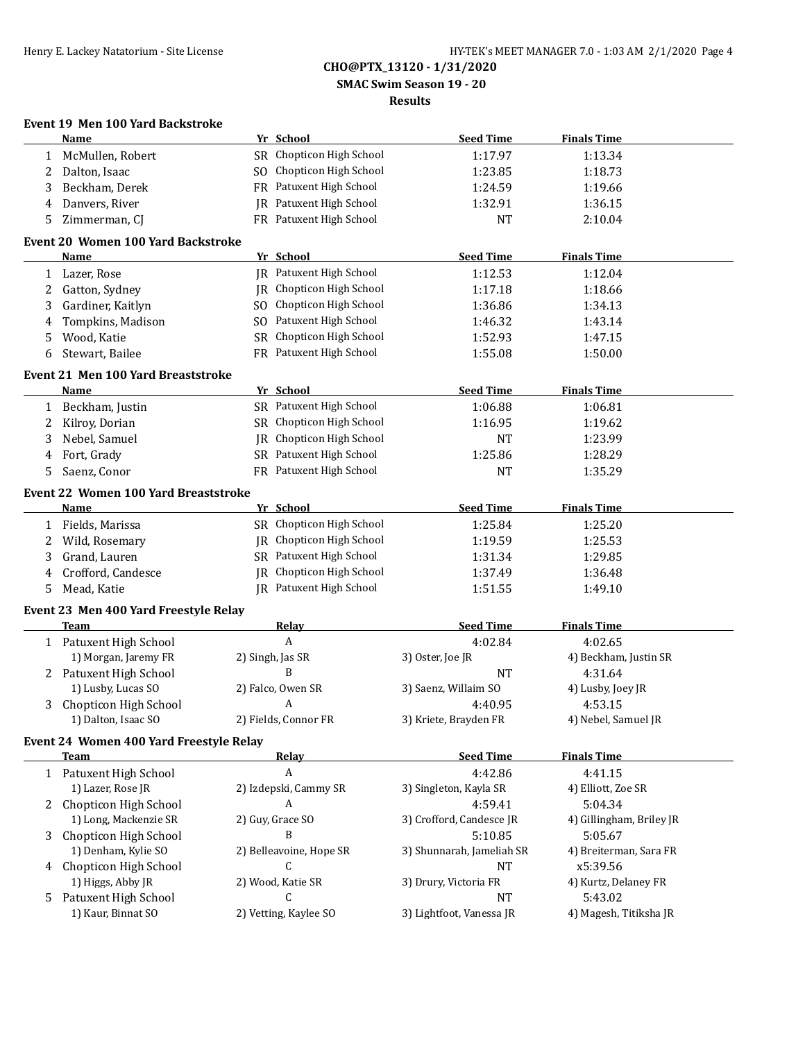**SMAC Swim Season 19 - 20**

### **Results**

## **Event 19 Men 100 Yard Backstroke**

|    | <b>Name</b>                                    |    | Yr School                | <b>Seed Time</b>          | <b>Finals Time</b>       |  |
|----|------------------------------------------------|----|--------------------------|---------------------------|--------------------------|--|
| 1  | McMullen, Robert                               |    | SR Chopticon High School | 1:17.97                   | 1:13.34                  |  |
| 2  | Dalton, Isaac                                  |    | SO Chopticon High School | 1:23.85                   | 1:18.73                  |  |
| 3  | Beckham, Derek                                 |    | FR Patuxent High School  | 1:24.59                   | 1:19.66                  |  |
| 4  | Danvers, River                                 |    | JR Patuxent High School  | 1:32.91                   | 1:36.15                  |  |
| 5  | Zimmerman, CJ                                  |    | FR Patuxent High School  | <b>NT</b>                 | 2:10.04                  |  |
|    |                                                |    |                          |                           |                          |  |
|    | Event 20 Women 100 Yard Backstroke             |    |                          |                           |                          |  |
|    | Name                                           |    | Yr School                | <b>Seed Time</b>          | <b>Finals Time</b>       |  |
| 1  | Lazer, Rose                                    |    | JR Patuxent High School  | 1:12.53                   | 1:12.04                  |  |
| 2  | Gatton, Sydney                                 |    | JR Chopticon High School | 1:17.18                   | 1:18.66                  |  |
| 3  | Gardiner, Kaitlyn                              |    | SO Chopticon High School | 1:36.86                   | 1:34.13                  |  |
| 4  | Tompkins, Madison                              |    | SO Patuxent High School  | 1:46.32                   | 1:43.14                  |  |
| 5  | Wood, Katie                                    |    | SR Chopticon High School | 1:52.93                   | 1:47.15                  |  |
| 6  | Stewart, Bailee                                |    | FR Patuxent High School  | 1:55.08                   | 1:50.00                  |  |
|    | <b>Event 21 Men 100 Yard Breaststroke</b>      |    |                          |                           |                          |  |
|    | <b>Name</b>                                    |    | Yr School                | <b>Seed Time</b>          | <b>Finals Time</b>       |  |
| 1  | Beckham, Justin                                |    | SR Patuxent High School  | 1:06.88                   | 1:06.81                  |  |
| 2  | Kilroy, Dorian                                 |    | SR Chopticon High School | 1:16.95                   | 1:19.62                  |  |
| 3  | Nebel, Samuel                                  | IR | Chopticon High School    | <b>NT</b>                 | 1:23.99                  |  |
| 4  | Fort, Grady                                    |    | SR Patuxent High School  | 1:25.86                   | 1:28.29                  |  |
| 5  | Saenz, Conor                                   |    | FR Patuxent High School  | <b>NT</b>                 | 1:35.29                  |  |
|    |                                                |    |                          |                           |                          |  |
|    | Event 22 Women 100 Yard Breaststroke           |    |                          |                           |                          |  |
|    | <b>Name</b>                                    |    | Yr School                | <b>Seed Time</b>          | <b>Finals Time</b>       |  |
| 1  | Fields, Marissa                                |    | SR Chopticon High School | 1:25.84                   | 1:25.20                  |  |
| 2  | Wild, Rosemary                                 |    | JR Chopticon High School | 1:19.59                   | 1:25.53                  |  |
| 3  | Grand, Lauren                                  |    | SR Patuxent High School  | 1:31.34                   | 1:29.85                  |  |
| 4  | Crofford, Candesce                             |    | JR Chopticon High School | 1:37.49                   | 1:36.48                  |  |
| 5  | Mead, Katie                                    |    | JR Patuxent High School  | 1:51.55                   | 1:49.10                  |  |
|    | Event 23 Men 400 Yard Freestyle Relay          |    |                          |                           |                          |  |
|    | <b>Team</b>                                    |    | Relay                    | <b>Seed Time</b>          | <b>Finals Time</b>       |  |
|    | 1 Patuxent High School                         |    | $\overline{A}$           | 4:02.84                   | 4:02.65                  |  |
|    | 1) Morgan, Jaremy FR                           |    | 2) Singh, Jas SR         | 3) Oster, Joe JR          | 4) Beckham, Justin SR    |  |
|    | 2 Patuxent High School                         |    | B                        | <b>NT</b>                 | 4:31.64                  |  |
|    | 1) Lusby, Lucas SO                             |    | 2) Falco, Owen SR        | 3) Saenz, Willaim SO      | 4) Lusby, Joey JR        |  |
| 3  | Chopticon High School                          |    | A                        | 4:40.95                   | 4:53.15                  |  |
|    | 1) Dalton, Isaac SO                            |    | 2) Fields, Connor FR     | 3) Kriete, Brayden FR     | 4) Nebel, Samuel JR      |  |
|    | <b>Event 24 Women 400 Yard Freestyle Relay</b> |    |                          |                           |                          |  |
|    | Team                                           |    | Relay                    | <b>Seed Time</b>          | <b>Finals Time</b>       |  |
|    | 1 Patuxent High School                         |    | A                        | 4:42.86                   | 4:41.15                  |  |
|    | 1) Lazer, Rose JR                              |    | 2) Izdepski, Cammy SR    | 3) Singleton, Kayla SR    | 4) Elliott, Zoe SR       |  |
|    | 2 Chopticon High School                        |    | A                        | 4:59.41                   | 5:04.34                  |  |
|    | 1) Long, Mackenzie SR                          |    | 2) Guy, Grace SO         | 3) Crofford, Candesce JR  | 4) Gillingham, Briley JR |  |
| 3. | Chopticon High School                          |    | B                        | 5:10.85                   | 5:05.67                  |  |
|    | 1) Denham, Kylie SO                            |    | 2) Belleavoine, Hope SR  | 3) Shunnarah, Jameliah SR | 4) Breiterman, Sara FR   |  |
|    | 4 Chopticon High School                        |    | C                        | <b>NT</b>                 | x5:39.56                 |  |
|    | 1) Higgs, Abby JR                              |    | 2) Wood, Katie SR        | 3) Drury, Victoria FR     | 4) Kurtz, Delaney FR     |  |
| 5  | Patuxent High School                           |    | C                        | <b>NT</b>                 | 5:43.02                  |  |
|    | 1) Kaur, Binnat SO                             |    | 2) Vetting, Kaylee SO    | 3) Lightfoot, Vanessa JR  | 4) Magesh, Titiksha JR   |  |
|    |                                                |    |                          |                           |                          |  |